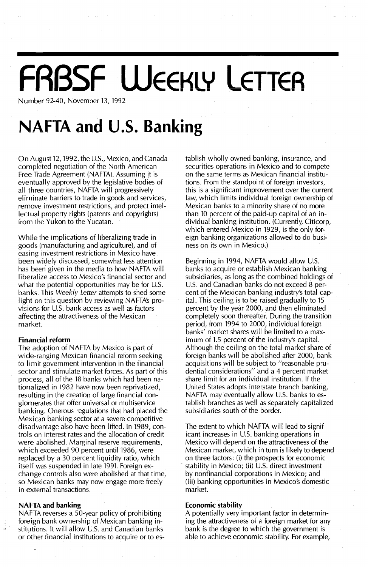# $FRSSSF$  WEEKLY LETTER

Number 92-40, November 13, 1992

### **NAFTA and u.s. Banking**

On August 12, 1992, the U.S., Mexico, and Canada completed negotiation of the North American Free Trade Agreement (NAFTA). Assuming it is eventually approved by the legislative bodies of all three countries, NAFTA will progressively eliminate barriers to trade in goods and services, remove investment restrictions, and protect intellectual property rights (patents and copyrights) from the Yukon to the Yucatan.

While the implications of liberalizing trade in goods (manufacturing and agriculture), and of easing investment restrictions in Mexico have been widely discussed, somewhat less attention has been given in the media to how NAFTA will liberalize access to Mexico's financial sector and what the potential opportunities may be for U.S. banks, This Weekly Letter attempts to shed some light on this question by reviewing NAFTA's provisions for U.S. bank access as well as factors affecting the attractiveness of the Mexican market.

#### **Financial reform**

The adoption of NAFTA by Mexico is part of wide-ranging Mexican financial reform seeking to limit government intervention in the financial sector and stimulate market forces. As part of this process, all of the 18 banks which had been nationalized in 1982 have now been reprivatized, resulting in the creation of large financial conglomerates that offer universal or multiservice banking. Onerous regulations that had placed the Mexican banking sector at a severe competitive disadvantage also have been lifted. In 1989, controls on interest rates and the allocation of credit were abolished. Marginal reserve requirements, which exceeded 90 percent until 1986, were replaced by a 30 percent liquidity ratio, which itself was suspended in late 1991. Foreign exchange controls also were abolished at that time, so Mexican banks may now engage more freely in external transactions.

#### **NAFTA and banking**

NAFTA reverses a 50-year policy of prohibiting foreign bank ownership of Mexican banking institutions. It will allow U.s. and Canadian banks or other financial institutions to acquire or to establish wholly owned banking, insurance, and securities operations in Mexico and to compete on the same terms as Mexican financial institutions. From the standpoint of foreign investors, this is a significant improvement over the current law, which limits individual foreign ownership of Mexican banks to a minority share of no more than 10 percent of the paid-up capital of an individual banking institution. (Currently, Citicorp, which entered Mexico in 1929, is the only foreign banking organizations allowed to do business on its own in Mexico.)

Beginning in 1994, NAFTA would allow U.S. banks to acquire or establish Mexican banking subsidiaries, as long as the combined holdings of u.s. and Canadian banks do not exceed 8 percent of the Mexican banking industry's total capital. This ceiling is to be raised gradually to 15 percent by the year 2000, and then eliminated completely soon thereafter. During the transition period, from 1994 to 2000, individual foreign banks' market shares will be limited to a maximum of 1.5 percent of the industry's capital. Although the ceiling on the total market share of foreign banks will be abolished after 2000, bank acquisitions will be subject to "reasonable prudential considerations" and a 4 percent market share limit for an individual institution. If the United States adopts interstate branch banking, NAFTA may eventually allow U.S. banks to establish branches as well as separately capitalized subsidiaries south of the border.

The extent to which NAFTA will lead to significant increases in U.s. banking operations in Mexico will depend on the attractiveness of the Mexican market, which in turn is likely to depend on three factors: (i) the prospects for economic stability in Mexico; (ii) U.S. direct investment by nonfinancial corporations in Mexico; and (iii) banking opportunities in Mexico's domestic market.

#### **Economic stability**

A potentially very important factor in determining the attractiveness of a foreign market for any bank is the degree to which the government is able to achieve economic stability. For example,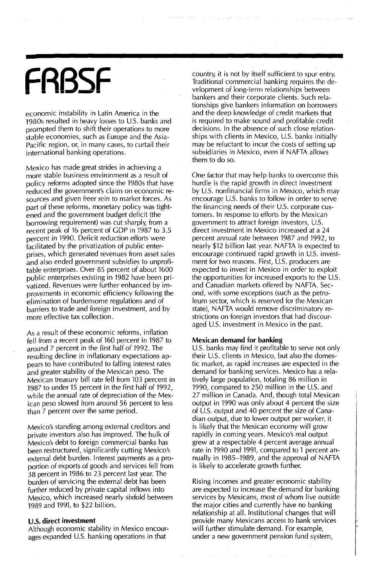## **FRBSF**

economic instability in Latin America in the 1980s resulted in heavy losses to U.S. banks and prompted them to shift their operations to more stable economies, such as Europe and the Asia-Pacific region, or, in many cases, to curtail their international banking operations.

Mexico has made great strides in achieving a more stable business environment as a result of policy reforms adopted since the 1980s that have reduced the government's claim on economic resources and given freer rein to market forces. As part of these reforms, monetary poiicy was tightened and the government budget deficit (the borrowing requirement) was cut sharply, from a recent peak of 16 percent of GOP in 1987 to 3.5 percent in 1990. Deficit reduction efforts were facilitated by the privatization of public enterprises, which generated revenues from asset sales and also ended government subsidies to unprofitable enterprises. Over 85 percent of about 1600 public enterprises existing in 1982 have been privatized. Revenues were further enhanced by imorovements in economic efficiency following the elimination of burdensome regulations and of barriers to trade and foreign investment, and by more effective tax collection.

As a result of these economic reforms, inflation fell from a recent peak of 160 percent in 1987 to around 7 percent in the first half of 1992. The resulting decline in inflationary expectations appears to have contributed to falling interest rates and greater stability of the Mexican peso. The Mexican treasury bill rate feU from 103 percent in 1987 to under 15 percent in the first half of 1992, while the annual rate of depreciation of the Mexican peso slowed from around 56 percent to less than 7 percent over the same period.

Mexico's standing among external creditors and private investors also has improved. The bulk of Mexico's debt to foreign commercial banks has been restructured, significantly cutting Mexico's external debt burden. Interest payments as a proportion of exports of goods and services fell from 38 percent in 1986 to 23 percent last year. The burden of servicing the external debt has been further reduced by private capital inflows into Mexico, which increased nearly sixfold between 1989 and 1991, to \$22 billion.

#### **u.s. direct investment**

Although economic stability in Mexico encourages expanded U.S. banking operations in that

country, it is not by itself sufficient to spur entry. Traditional commercial banking requires the development of long-terrn relationships between bankers and their corporate clients. Such relationships give bankers information on borrowers and the deep knowledge of credit markets that is required to make sound and profitable credit decisions. In the absence of such close relationships with clients in Mexico, U.S. banks initially may be reluctant to incur the costs of setting up subsidiaries in Mexico, even if NAFTA allows them to do so.

One factor that may help banks to overcome this hurdle is the rapid growth in direct investment by U.S. nonfinancial firms in Mexico, which may encourage U.S. banks to follow in order to serve the financing needs of their U.S. corporate customers. In response to efforts by the Mexican government to attract foreign investors, U.s. direct investment in Mexico increased at a 24 percent annual rate between 1987 and 1992, to nearly \$12 billion last year. NAFTA is expected to encourage continued rapid growth in U.s. investment for two reasons. First, U.S. producers are expected to invest in Mexico in order to exploit the opportunities for increased exports to the U.S. and Canadian markets offered by NAFTA. Second, with some exceptions (such as the petroleum sector, which is reserved for the Mexican state), NAFTA would remove discriminatory restrictions on foreign investors that had discouraged U.S. investment in Mexico in the past.

#### **Mexican demand for banking**

U.S. banks may find it profitable to serve not only their U.S. clients in Mexico, but also the domestic market, as rapid increases are expected in the demand for banking services. Mexico has a relatively large population, totaling 86 million in 1990, compared to 250 million in the U.S. and 27 million in Canada. And, though total Mexican output in 1990 was only about 4 percent the size of U.S. output and 40 percent the size of Canadian output, due to lower output per worker, it is likely that the Mexican economy will grow rapidly in coming years. Mexico's real output grew at a respectable 4 percent average annual rate in 1990 and 1991, compared to 1 percent annually in 1985~1989, and the approval of NAFTA is likely to accelerate growth further.

Rising incomes and greater economic stability are expected to increase the demand for banking services by Mexicans, most of whom live outside the major cities and currently have no banking relationship at all. Institutional changes that will provide many Mexicans access to bank services will further stimulate demand. For example, under a new government pension fund system,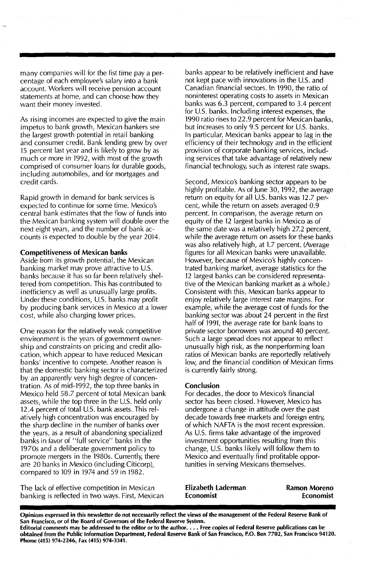many companies will for the fist time pay a percentage of each employee's salary into a bank account. Workers will receive pension account statements at home, and can choose how they want their money invested.

As rising incomes are expected to give the main impetus to bank growth, Mexican bankers see the largest growth potential in retail banking and consumer credit. Bank lending grew by over 15 percent last year and is likely to grow by as much or more in 1992, with most of the growth comprised of consumer loans for durable goods, including automobiles, and for mortgages and credit cards.

Rapid growth in demand for bank services is expected to continue for some time. Mexico's central bank estimates that the flow of funds into the Mexican banking system will double over the next eight years, and the number of bank accounts is expected to double by the year 2014.

#### Competitiveness of Mexican banks

Aside from its growth potential, the Mexican banking market may prove attractive to U.s. banks because it has so far been relatively sheltered from competition. This has contributed to inefficiency as well as unusually large profits. Under these conditions, U.S. banks may profit by producing bank services in Mexico at a lower cost, while also charging lower prices.

One reason for the relatively weak competitive environment is the years of government ownership and constraints on pricing and credit allocation, which appear to have reduced Mexican banks' incentive to compete. Another reason is that the domestic banking sector is characterized by an apparently very high degree of concentration. As of mid-1992, the top three banks in Mexico held 58.7 percent of total Mexican bank assets, while the top three in the U.S. held only 12.4 percent of total U.S. bank assets. This relatively high concentration was encouraged by the sharp decline in the number of banks over the years, as a result of abandoning specialized banks in favor of "full service" banks in the 1970s and a deliberate government policy to promote mergers in the 1980s. Currently, there are 20 banks in Mexico (including Citicorp), compared to 109 in 1974 and 59 in 1982.

The lack of effective competition in Mexican banking is reflected in two ways. First, Mexican banks appear to be relatively inefficient and have not kept pace with innovations in the U.S. and Canadian financial sectors. **In** 1990, the ratio of noninterest operating costs to assets in Mexican banks was 6.3 percent, compared to 3.4 percent for U.S. banks. Including interest expenses, the 1990 ratio rises to 22.9 percent for Mexican banks, but increases to only 9.5 percent for U.S. banks. In particular, Mexican banks appear to lag in the efficiency of their technology and in the efficient provision of corporate banking services, including services that take advantage of relatively new financial technology, such as interest rate swaps.

Second, Mexico's banking sector appears to be highly profitable. As of June 30, 1992, the average return on equity for all U.s. banks was 12.7 percent, while the return on assets averaged 0.9 percent. In comparison, the average return on equity of the 12 largest banks in Mexico as of the same date was a relatively high 27.2 percent, while the average return on assets for these banks was also relatively high, at 1.7 percent. (Average figures for all Mexican banks were unavailable. However, because of Mexico's highly concentrated banking market, average statistics for the 12 largest banks can be considered representative of the Mexican banking market as a whole.) Consistent with this, Mexican banks appear to enjoy relatively large interest rate margins. For example, while the average cost of funds for the banking sector was about 24 percent in the first half of 1991, the average rate for bank loans to private sector borrowers was around 40 percent. Such a large spread does not appear to reflect unusually high risk, as the nonperforming loan ratios of Mexican banks are reportedly relatively low, and the financial condition of Mexican firms is currently fairly strong.

#### Conclusion

For decades, the door to Mexico's financial sector has been closed. However, Mexico has undergone d change in attitude over the past decade towards free markets and foreign entry, of which NAFTA is the most recent expression. As U.s. firms take advantage of the improved investment opportunities resulting from this change, U.S. banks likely will follow them to Mexico and eventually find profitable opportunities in serving Mexicans themselves.

Elizabeth Laderman Economist

Ramon Moreno Economist

Opinions expressed in this newsletter do not necessarily reflect the views of the management of the Federal Reserve Bank of San Francisco, or of the Board of Governors of the Federal Reserve System.

Editorial comments may be addressed to the editor or to the author..•. Free copies of Federal Reserve publications can be obtained from the Public Information Department, Federal Reserve Bank of San Francisco, P.O. Box 7702, San Francisco 94120. Phone (415) 974-2246, Fax (415) 974-3341.